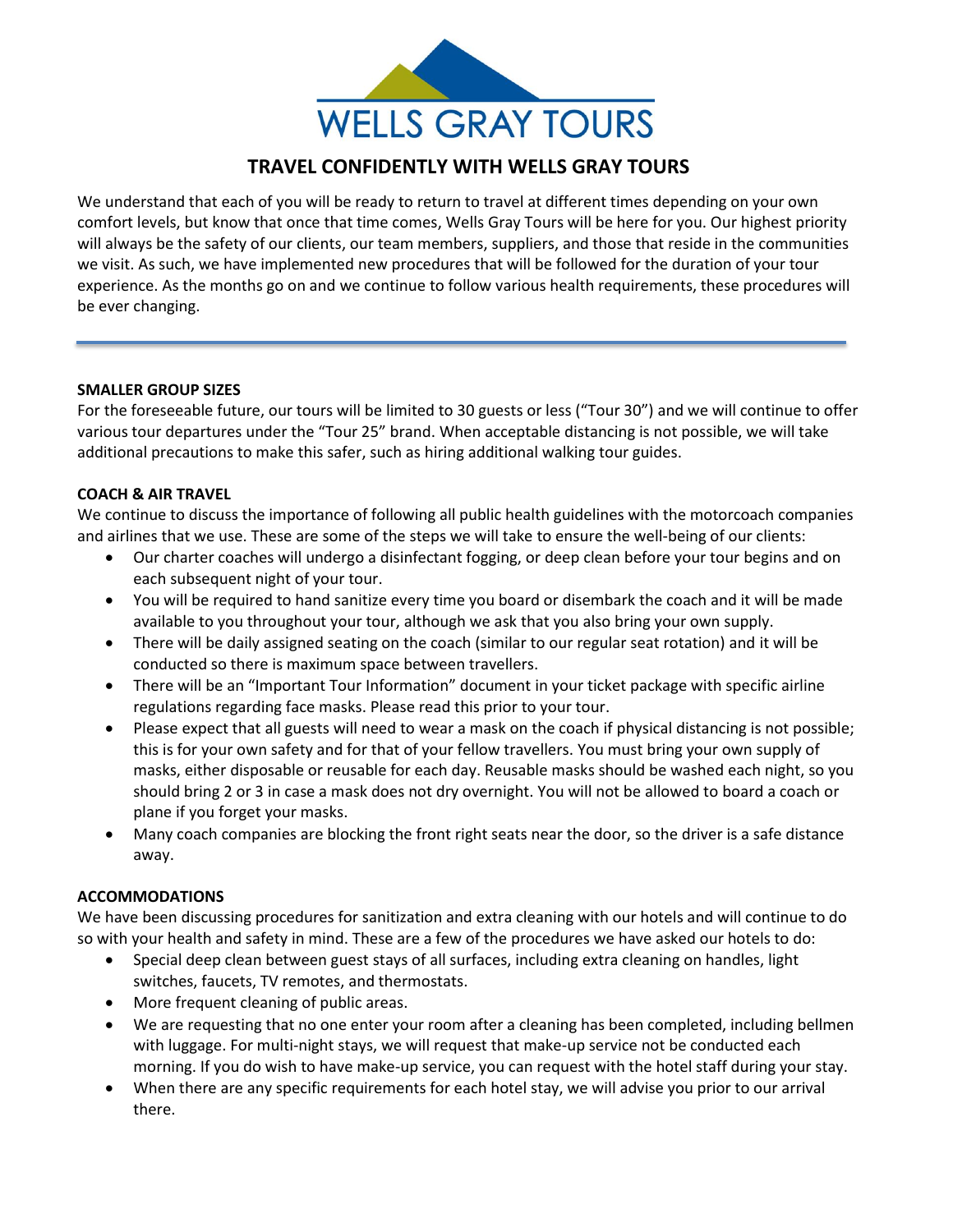

# **TRAVEL CONFIDENTLY WITH WELLS GRAY TOURS**

We understand that each of you will be ready to return to travel at different times depending on your own comfort levels, but know that once that time comes, Wells Gray Tours will be here for you. Our highest priority will always be the safety of our clients, our team members, suppliers, and those that reside in the communities we visit. As such, we have implemented new procedures that will be followed for the duration of your tour experience. As the months go on and we continue to follow various health requirements, these procedures will be ever changing.

#### **SMALLER GROUP SIZES**

For the foreseeable future, our tours will be limited to 30 guests or less ("Tour 30") and we will continue to offer various tour departures under the "Tour 25" brand. When acceptable distancing is not possible, we will take additional precautions to make this safer, such as hiring additional walking tour guides.

#### **COACH & AIR TRAVEL**

We continue to discuss the importance of following all public health guidelines with the motorcoach companies and airlines that we use. These are some of the steps we will take to ensure the well-being of our clients:

- Our charter coaches will undergo a disinfectant fogging, or deep clean before your tour begins and on each subsequent night of your tour.
- You will be required to hand sanitize every time you board or disembark the coach and it will be made available to you throughout your tour, although we ask that you also bring your own supply.
- There will be daily assigned seating on the coach (similar to our regular seat rotation) and it will be conducted so there is maximum space between travellers.
- There will be an "Important Tour Information" document in your ticket package with specific airline regulations regarding face masks. Please read this prior to your tour.
- Please expect that all guests will need to wear a mask on the coach if physical distancing is not possible; this is for your own safety and for that of your fellow travellers. You must bring your own supply of masks, either disposable or reusable for each day. Reusable masks should be washed each night, so you should bring 2 or 3 in case a mask does not dry overnight. You will not be allowed to board a coach or plane if you forget your masks.
- Many coach companies are blocking the front right seats near the door, so the driver is a safe distance away.

### **ACCOMMODATIONS**

We have been discussing procedures for sanitization and extra cleaning with our hotels and will continue to do so with your health and safety in mind. These are a few of the procedures we have asked our hotels to do:

- Special deep clean between guest stays of all surfaces, including extra cleaning on handles, light switches, faucets, TV remotes, and thermostats.
- More frequent cleaning of public areas.
- We are requesting that no one enter your room after a cleaning has been completed, including bellmen with luggage. For multi-night stays, we will request that make-up service not be conducted each morning. If you do wish to have make-up service, you can request with the hotel staff during your stay.
- When there are any specific requirements for each hotel stay, we will advise you prior to our arrival there.